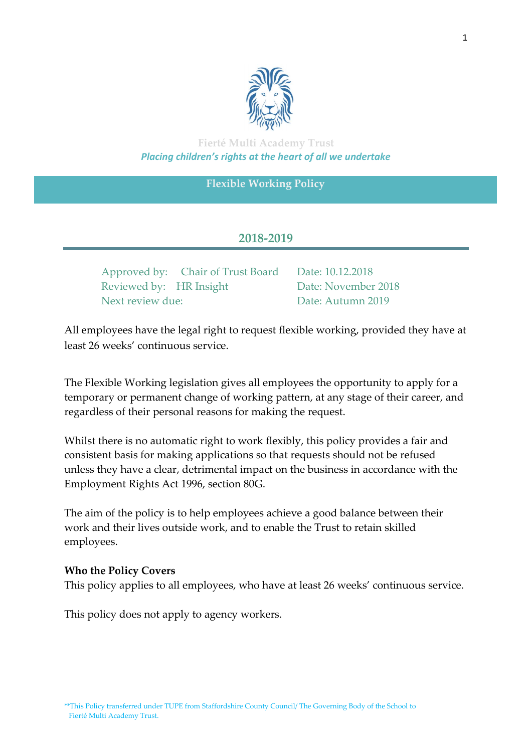

**Fierté Multi Academy Trust** *Placing children's rights at the heart of all we undertake*

### **Flexible Working Policy**

# **2018-2019**

Approved by: Chair of Trust Board Date: 10.12.2018 Reviewed by: HR Insight Date: November 2018 Next review due: Date: Autumn 2019

All employees have the legal right to request flexible working, provided they have at least 26 weeks' continuous service.

The Flexible Working legislation gives all employees the opportunity to apply for a temporary or permanent change of working pattern, at any stage of their career, and regardless of their personal reasons for making the request.

Whilst there is no automatic right to work flexibly, this policy provides a fair and consistent basis for making applications so that requests should not be refused unless they have a clear, detrimental impact on the business in accordance with the Employment Rights Act 1996, section 80G.

The aim of the policy is to help employees achieve a good balance between their work and their lives outside work, and to enable the Trust to retain skilled employees.

#### **Who the Policy Covers**

This policy applies to all employees, who have at least 26 weeks' continuous service.

This policy does not apply to agency workers.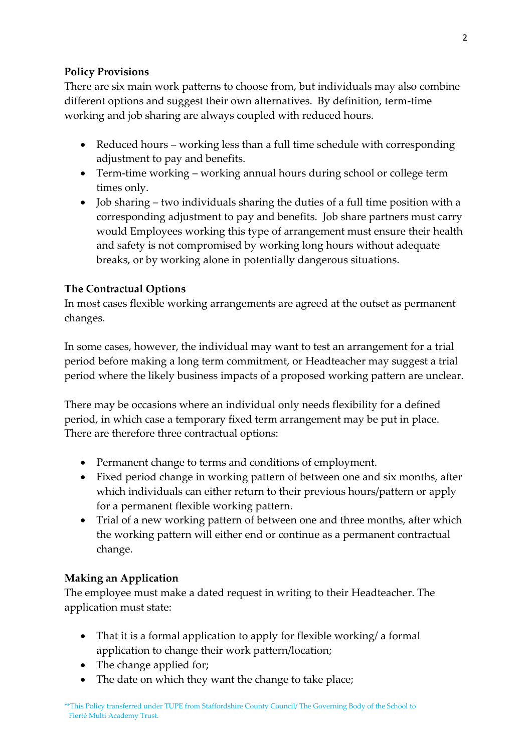# **Policy Provisions**

There are six main work patterns to choose from, but individuals may also combine different options and suggest their own alternatives. By definition, term-time working and job sharing are always coupled with reduced hours.

- Reduced hours working less than a full time schedule with corresponding adjustment to pay and benefits.
- Term-time working working annual hours during school or college term times only.
- Job sharing two individuals sharing the duties of a full time position with a corresponding adjustment to pay and benefits. Job share partners must carry would Employees working this type of arrangement must ensure their health and safety is not compromised by working long hours without adequate breaks, or by working alone in potentially dangerous situations.

# **The Contractual Options**

In most cases flexible working arrangements are agreed at the outset as permanent changes.

In some cases, however, the individual may want to test an arrangement for a trial period before making a long term commitment, or Headteacher may suggest a trial period where the likely business impacts of a proposed working pattern are unclear.

There may be occasions where an individual only needs flexibility for a defined period, in which case a temporary fixed term arrangement may be put in place. There are therefore three contractual options:

- Permanent change to terms and conditions of employment.
- Fixed period change in working pattern of between one and six months, after which individuals can either return to their previous hours/pattern or apply for a permanent flexible working pattern.
- Trial of a new working pattern of between one and three months, after which the working pattern will either end or continue as a permanent contractual change.

### **Making an Application**

The employee must make a dated request in writing to their Headteacher. The application must state:

- That it is a formal application to apply for flexible working/ a formal application to change their work pattern/location;
- The change applied for;
- The date on which they want the change to take place;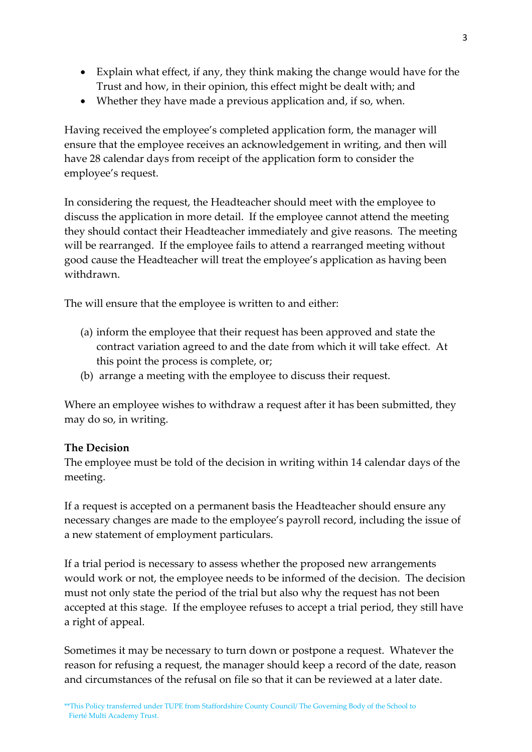- Explain what effect, if any, they think making the change would have for the Trust and how, in their opinion, this effect might be dealt with; and
- Whether they have made a previous application and, if so, when.

Having received the employee's completed application form, the manager will ensure that the employee receives an acknowledgement in writing, and then will have 28 calendar days from receipt of the application form to consider the employee's request.

In considering the request, the Headteacher should meet with the employee to discuss the application in more detail. If the employee cannot attend the meeting they should contact their Headteacher immediately and give reasons. The meeting will be rearranged. If the employee fails to attend a rearranged meeting without good cause the Headteacher will treat the employee's application as having been withdrawn.

The will ensure that the employee is written to and either:

- (a) inform the employee that their request has been approved and state the contract variation agreed to and the date from which it will take effect. At this point the process is complete, or;
- (b) arrange a meeting with the employee to discuss their request.

Where an employee wishes to withdraw a request after it has been submitted, they may do so, in writing.

### **The Decision**

The employee must be told of the decision in writing within 14 calendar days of the meeting.

If a request is accepted on a permanent basis the Headteacher should ensure any necessary changes are made to the employee's payroll record, including the issue of a new statement of employment particulars.

If a trial period is necessary to assess whether the proposed new arrangements would work or not, the employee needs to be informed of the decision. The decision must not only state the period of the trial but also why the request has not been accepted at this stage. If the employee refuses to accept a trial period, they still have a right of appeal.

Sometimes it may be necessary to turn down or postpone a request. Whatever the reason for refusing a request, the manager should keep a record of the date, reason and circumstances of the refusal on file so that it can be reviewed at a later date.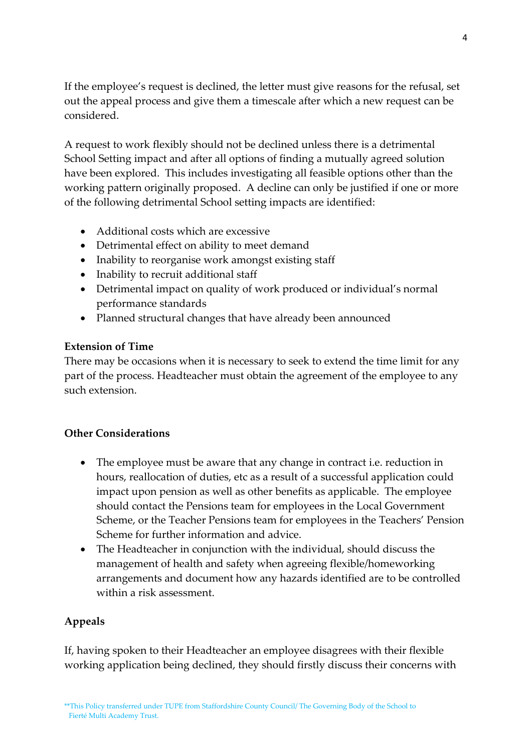If the employee's request is declined, the letter must give reasons for the refusal, set out the appeal process and give them a timescale after which a new request can be considered.

A request to work flexibly should not be declined unless there is a detrimental School Setting impact and after all options of finding a mutually agreed solution have been explored. This includes investigating all feasible options other than the working pattern originally proposed. A decline can only be justified if one or more of the following detrimental School setting impacts are identified:

- Additional costs which are excessive
- Detrimental effect on ability to meet demand
- Inability to reorganise work amongst existing staff
- Inability to recruit additional staff
- Detrimental impact on quality of work produced or individual's normal performance standards
- Planned structural changes that have already been announced

### **Extension of Time**

There may be occasions when it is necessary to seek to extend the time limit for any part of the process. Headteacher must obtain the agreement of the employee to any such extension.

### **Other Considerations**

- The employee must be aware that any change in contract i.e. reduction in hours, reallocation of duties, etc as a result of a successful application could impact upon pension as well as other benefits as applicable. The employee should contact the Pensions team for employees in the Local Government Scheme, or the Teacher Pensions team for employees in the Teachers' Pension Scheme for further information and advice.
- The Headteacher in conjunction with the individual, should discuss the management of health and safety when agreeing flexible/homeworking arrangements and document how any hazards identified are to be controlled within a risk assessment.

### **Appeals**

If, having spoken to their Headteacher an employee disagrees with their flexible working application being declined, they should firstly discuss their concerns with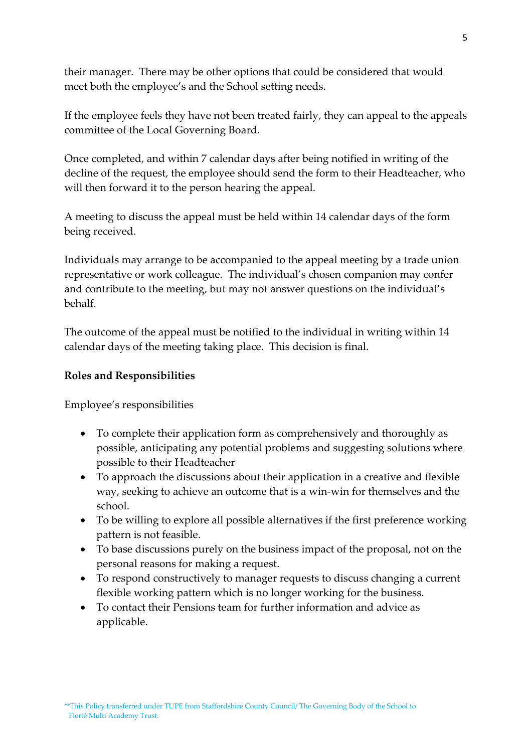their manager. There may be other options that could be considered that would meet both the employee's and the School setting needs.

If the employee feels they have not been treated fairly, they can appeal to the appeals committee of the Local Governing Board.

Once completed, and within 7 calendar days after being notified in writing of the decline of the request, the employee should send the form to their Headteacher, who will then forward it to the person hearing the appeal.

A meeting to discuss the appeal must be held within 14 calendar days of the form being received.

Individuals may arrange to be accompanied to the appeal meeting by a trade union representative or work colleague. The individual's chosen companion may confer and contribute to the meeting, but may not answer questions on the individual's behalf.

The outcome of the appeal must be notified to the individual in writing within 14 calendar days of the meeting taking place. This decision is final.

### **Roles and Responsibilities**

Employee's responsibilities

- To complete their application form as comprehensively and thoroughly as possible, anticipating any potential problems and suggesting solutions where possible to their Headteacher
- To approach the discussions about their application in a creative and flexible way, seeking to achieve an outcome that is a win-win for themselves and the school.
- To be willing to explore all possible alternatives if the first preference working pattern is not feasible.
- To base discussions purely on the business impact of the proposal, not on the personal reasons for making a request.
- To respond constructively to manager requests to discuss changing a current flexible working pattern which is no longer working for the business.
- To contact their Pensions team for further information and advice as applicable.